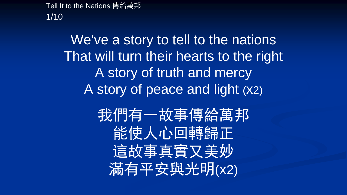Tell It to the Nations 傳給萬邦 1/10

> We've a story to tell to the nations That will turn their hearts to the right A story of truth and mercy A story of peace and light (x2)

> > 我們有一故事傳給萬邦 能使人心回轉歸正 這故事真實又美妙 滿有平安與光明(x2)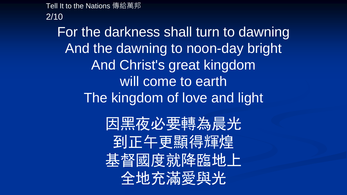Tell It to the Nations 傳給萬邦

2/10

For the darkness shall turn to dawning And the dawning to noon-day bright And Christ's great kingdom will come to earth The kingdom of love and light

> 因黑夜必要轉為晨光 到正午更顯得輝煌 基督國度就降臨地上 全地充滿愛與光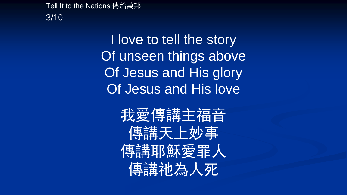Tell It to the Nations 傳給萬邦 3/10

> I love to tell the story Of unseen things above Of Jesus and His glory Of Jesus and His love

> > 我愛傳講主福音 傳講天上妙事 傳講耶穌愛罪人 傳講祂為人死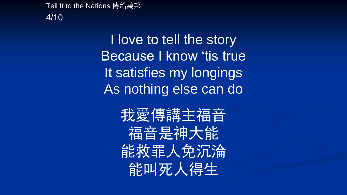Tell It to the Nations 傳給萬邦 4/10

> I love to tell the story Because I know 'tis true It satisfies my longings As nothing else can do

> > 我愛傳講主福音 福音是神大能 能救罪人免沉淪 能叫死人得生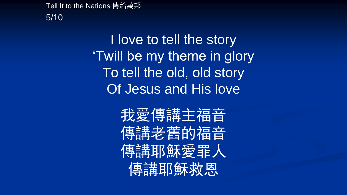Tell It to the Nations 傳給萬邦 5/10

> I love to tell the story 'Twill be my theme in glory To tell the old, old story Of Jesus and His love

> > 我愛傳講主福音 傳講老舊的福音 傳講耶穌愛罪人 傳講耶穌救恩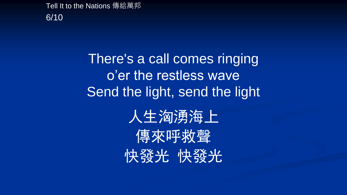Tell It to the Nations 傳給萬邦 6/10

> There's a call comes ringing o'er the restless wave Send the light, send the light

> > 人生洶湧海上 傳來呼救聲 快發光 快發光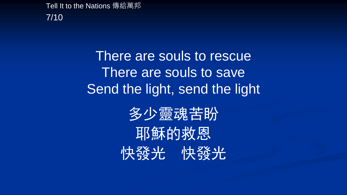Tell It to the Nations 傳給萬邦 7/10

> There are souls to rescue There are souls to save Send the light, send the light

> > 多少靈魂苦盼 耶穌的救恩 快發光 快發光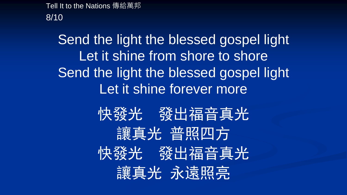Tell It to the Nations 傳給萬邦 8/10

> Send the light the blessed gospel light Let it shine from shore to shore Send the light the blessed gospel light Let it shine forever more

> > 快發光 發出福音真光 讓真光 普照四方 快發光 發出福音真光 讓真光 永遠照亮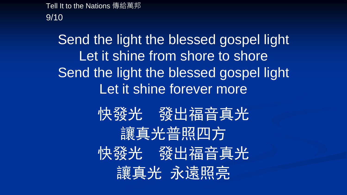Tell It to the Nations 傳給萬邦 9/10

> Send the light the blessed gospel light Let it shine from shore to shore Send the light the blessed gospel light Let it shine forever more

> > 快發光 發出福音真光 讓真光普照四方 快發光 發出福音真光 讓真光 永遠照亮